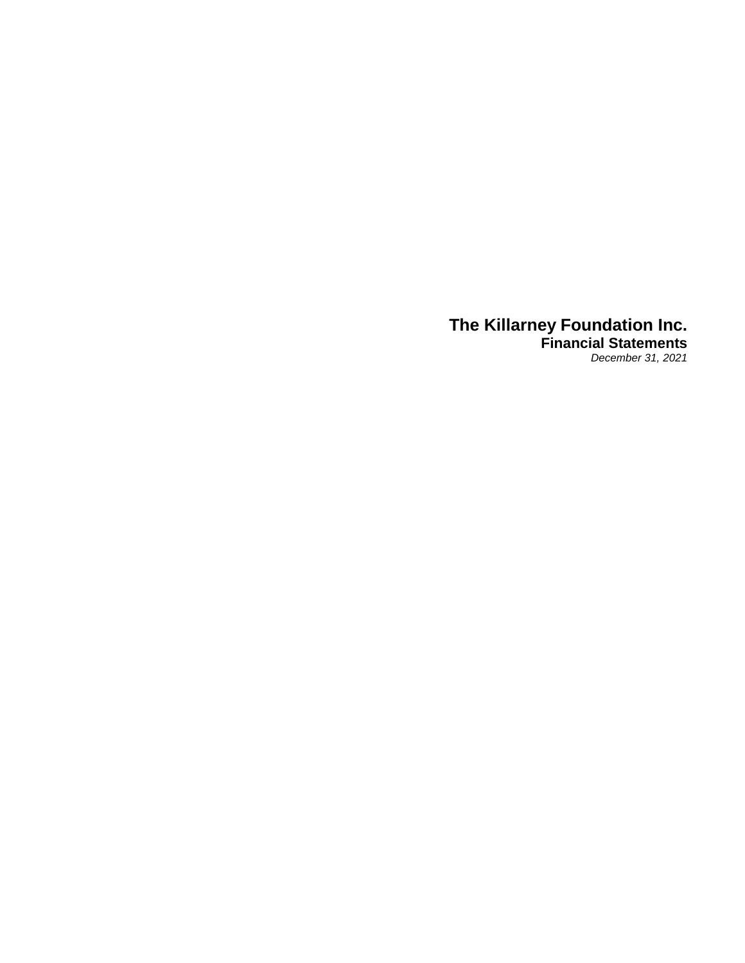# **The Killarney Foundation Inc. Financial Statements** *December 31, 2021*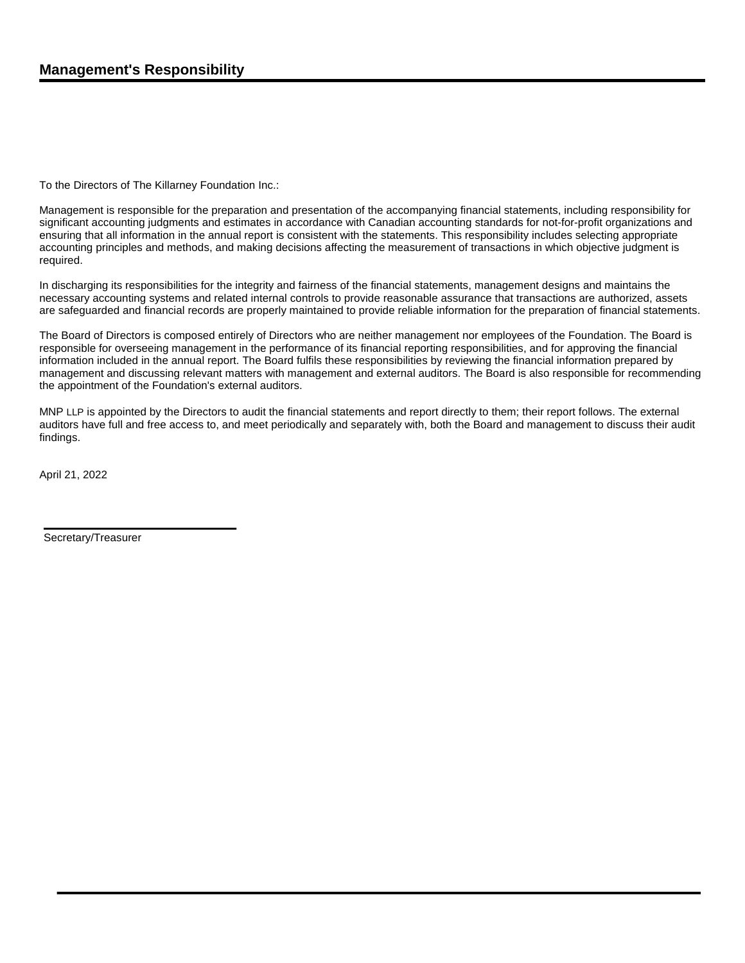To the Directors of The Killarney Foundation Inc.:

Management is responsible for the preparation and presentation of the accompanying financial statements, including responsibility for significant accounting judgments and estimates in accordance with Canadian accounting standards for not-for-profit organizations and ensuring that all information in the annual report is consistent with the statements. This responsibility includes selecting appropriate accounting principles and methods, and making decisions affecting the measurement of transactions in which objective judgment is required.

In discharging its responsibilities for the integrity and fairness of the financial statements, management designs and maintains the necessary accounting systems and related internal controls to provide reasonable assurance that transactions are authorized, assets are safeguarded and financial records are properly maintained to provide reliable information for the preparation of financial statements.

The Board of Directors is composed entirely of Directors who are neither management nor employees of the Foundation. The Board is responsible for overseeing management in the performance of its financial reporting responsibilities, and for approving the financial information included in the annual report. The Board fulfils these responsibilities by reviewing the financial information prepared by management and discussing relevant matters with management and external auditors. The Board is also responsible for recommending the appointment of the Foundation's external auditors.

MNP LLP is appointed by the Directors to audit the financial statements and report directly to them; their report follows. The external auditors have full and free access to, and meet periodically and separately with, both the Board and management to discuss their audit findings.

April 21, 2022

Secretary/Treasurer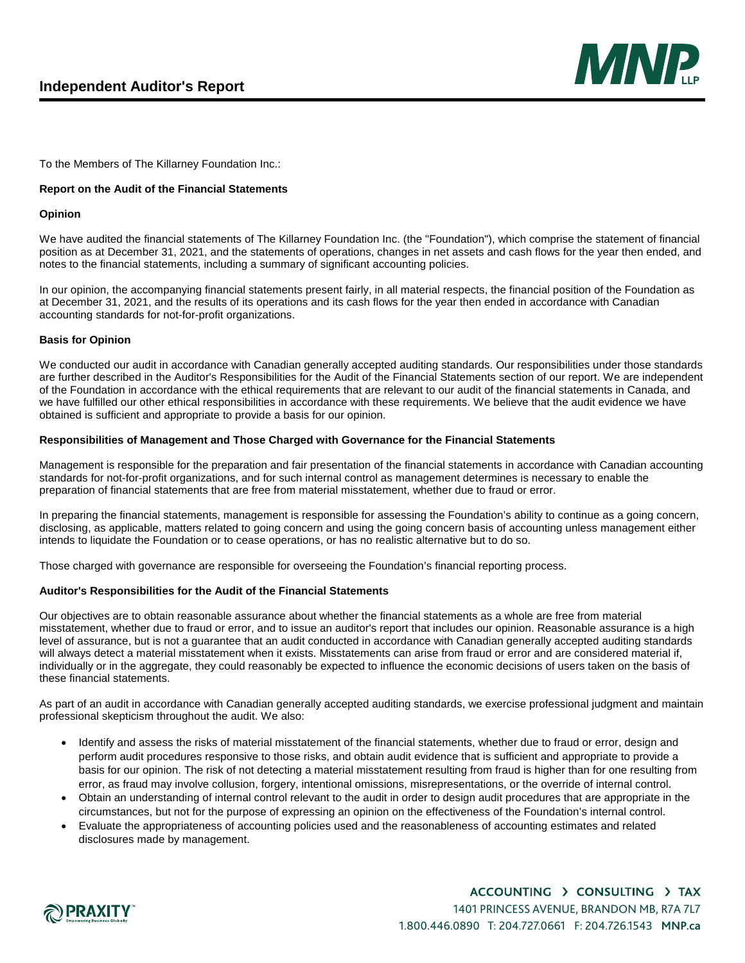

To the Members of The Killarney Foundation Inc.:

## **Report on the Audit of the Financial Statements**

#### **Opinion**

We have audited the financial statements of The Killarney Foundation Inc. (the "Foundation"), which comprise the statement of financial position as at December 31, 2021, and the statements of operations, changes in net assets and cash flows for the year then ended, and notes to the financial statements, including a summary of significant accounting policies.

In our opinion, the accompanying financial statements present fairly, in all material respects, the financial position of the Foundation as at December 31, 2021, and the results of its operations and its cash flows for the year then ended in accordance with Canadian accounting standards for not-for-profit organizations.

## **Basis for Opinion**

We conducted our audit in accordance with Canadian generally accepted auditing standards. Our responsibilities under those standards are further described in the Auditor's Responsibilities for the Audit of the Financial Statements section of our report. We are independent of the Foundation in accordance with the ethical requirements that are relevant to our audit of the financial statements in Canada, and we have fulfilled our other ethical responsibilities in accordance with these requirements. We believe that the audit evidence we have obtained is sufficient and appropriate to provide a basis for our opinion.

## **Responsibilities of Management and Those Charged with Governance for the Financial Statements**

Management is responsible for the preparation and fair presentation of the financial statements in accordance with Canadian accounting standards for not-for-profit organizations, and for such internal control as management determines is necessary to enable the preparation of financial statements that are free from material misstatement, whether due to fraud or error.

In preparing the financial statements, management is responsible for assessing the Foundation's ability to continue as a going concern, disclosing, as applicable, matters related to going concern and using the going concern basis of accounting unless management either intends to liquidate the Foundation or to cease operations, or has no realistic alternative but to do so.

Those charged with governance are responsible for overseeing the Foundation's financial reporting process.

# **Auditor's Responsibilities for the Audit of the Financial Statements**

Our objectives are to obtain reasonable assurance about whether the financial statements as a whole are free from material misstatement, whether due to fraud or error, and to issue an auditor's report that includes our opinion. Reasonable assurance is a high level of assurance, but is not a guarantee that an audit conducted in accordance with Canadian generally accepted auditing standards will always detect a material misstatement when it exists. Misstatements can arise from fraud or error and are considered material if, individually or in the aggregate, they could reasonably be expected to influence the economic decisions of users taken on the basis of these financial statements.

As part of an audit in accordance with Canadian generally accepted auditing standards, we exercise professional judgment and maintain professional skepticism throughout the audit. We also:

- Identify and assess the risks of material misstatement of the financial statements, whether due to fraud or error, design and perform audit procedures responsive to those risks, and obtain audit evidence that is sufficient and appropriate to provide a basis for our opinion. The risk of not detecting a material misstatement resulting from fraud is higher than for one resulting from error, as fraud may involve collusion, forgery, intentional omissions, misrepresentations, or the override of internal control.
- Obtain an understanding of internal control relevant to the audit in order to design audit procedures that are appropriate in the circumstances, but not for the purpose of expressing an opinion on the effectiveness of the Foundation's internal control.
- Evaluate the appropriateness of accounting policies used and the reasonableness of accounting estimates and related disclosures made by management.

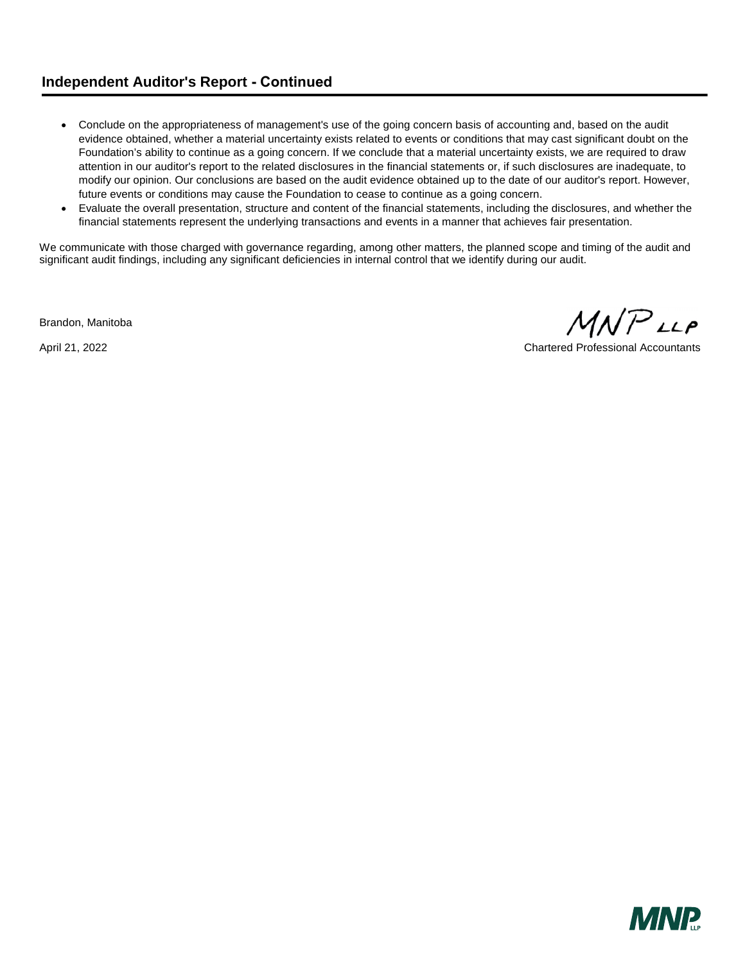# **Independent Auditor's Report Continued**

- Conclude on the appropriateness of management's use of the going concern basis of accounting and, based on the audit evidence obtained, whether a material uncertainty exists related to events or conditions that may cast significant doubt on the Foundation's ability to continue as a going concern. If we conclude that a material uncertainty exists, we are required to draw attention in our auditor's report to the related disclosures in the financial statements or, if such disclosures are inadequate, to modify our opinion. Our conclusions are based on the audit evidence obtained up to the date of our auditor's report. However, future events or conditions may cause the Foundation to cease to continue as a going concern.
- Evaluate the overall presentation, structure and content of the financial statements, including the disclosures, and whether the financial statements represent the underlying transactions and events in a manner that achieves fair presentation.

We communicate with those charged with governance regarding, among other matters, the planned scope and timing of the audit and significant audit findings, including any significant deficiencies in internal control that we identify during our audit.

Brandon, Manitoba

 $MNP$ LLP

April 21, 2022 Chartered Professional Accountants

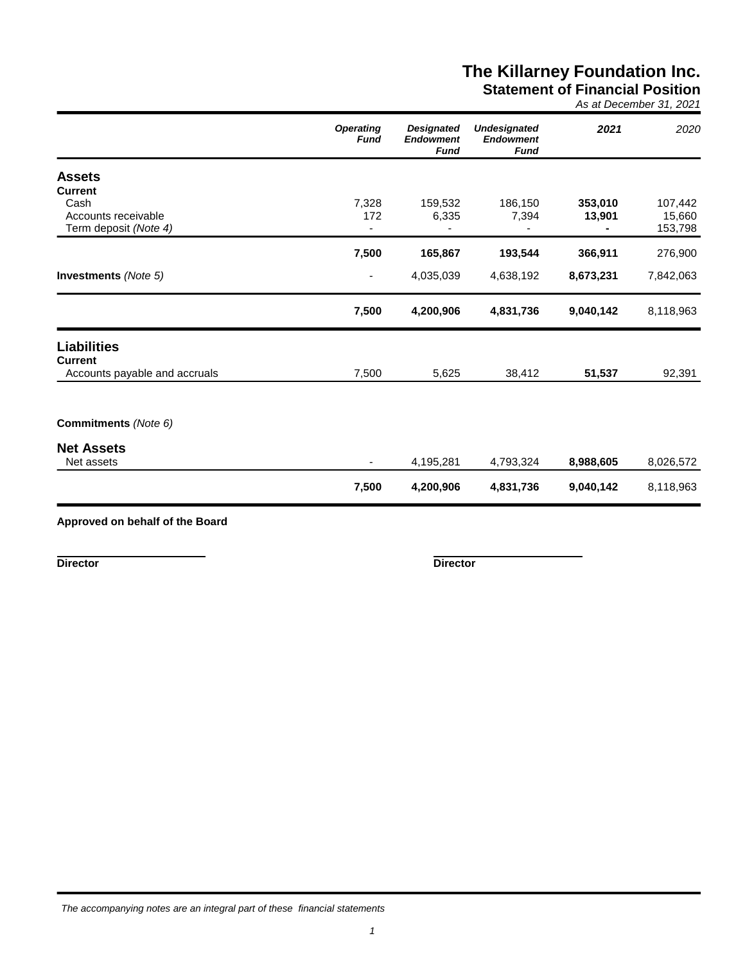# **The Killarney Foundation Inc. Statement of Financial Position**

*As at December 31, 2021*

|                                                 | <b>Operating</b><br><b>Fund</b> | <b>Designated</b><br><b>Endowment</b><br><b>Fund</b> | <b>Undesignated</b><br><b>Endowment</b><br><b>Fund</b> | 2021      | 2020      |
|-------------------------------------------------|---------------------------------|------------------------------------------------------|--------------------------------------------------------|-----------|-----------|
| <b>Assets</b>                                   |                                 |                                                      |                                                        |           |           |
| <b>Current</b>                                  |                                 |                                                      |                                                        |           |           |
| Cash                                            | 7,328                           | 159,532                                              | 186,150                                                | 353,010   | 107,442   |
| Accounts receivable                             | 172                             | 6,335                                                | 7,394                                                  | 13,901    | 15,660    |
| Term deposit (Note 4)                           | ٠                               |                                                      | $\blacksquare$                                         | ۰         | 153,798   |
|                                                 | 7,500                           | 165,867                                              | 193,544                                                | 366,911   | 276,900   |
| Investments (Note 5)                            | $\overline{\phantom{a}}$        | 4,035,039                                            | 4,638,192                                              | 8,673,231 | 7,842,063 |
|                                                 | 7,500                           | 4,200,906                                            | 4,831,736                                              | 9,040,142 | 8,118,963 |
| <b>Liabilities</b>                              |                                 |                                                      |                                                        |           |           |
| <b>Current</b><br>Accounts payable and accruals | 7,500                           | 5,625                                                | 38,412                                                 | 51,537    | 92,391    |
|                                                 |                                 |                                                      |                                                        |           |           |
| Commitments (Note 6)                            |                                 |                                                      |                                                        |           |           |
| <b>Net Assets</b>                               |                                 |                                                      |                                                        |           |           |
| Net assets                                      | $\overline{\phantom{a}}$        | 4,195,281                                            | 4,793,324                                              | 8,988,605 | 8,026,572 |
|                                                 | 7,500                           | 4,200,906                                            | 4,831,736                                              | 9,040,142 | 8,118,963 |
| Approved on behalf of the Board                 |                                 |                                                      |                                                        |           |           |
|                                                 |                                 |                                                      |                                                        |           |           |

**Director Director**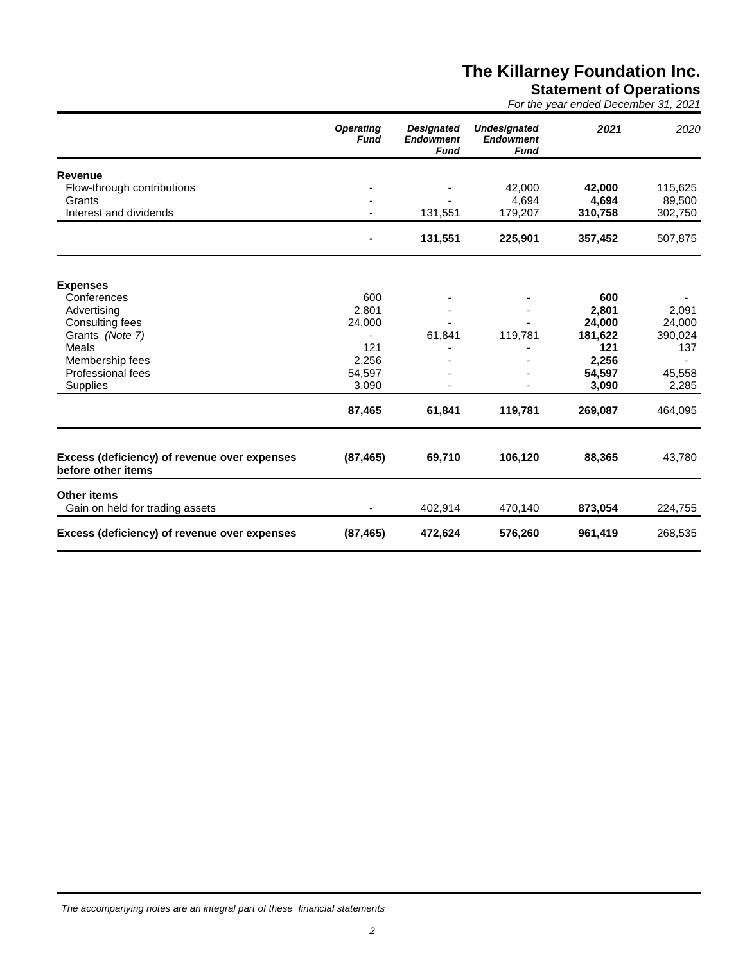# **Statement of Operations**

*For the year ended December 31, 2021*

|                                                                    | <b>Operating</b><br><b>Fund</b> | <b>Designated</b><br><b>Endowment</b><br><b>Fund</b> | <b>Undesignated</b><br><b>Endowment</b><br><b>Fund</b> | 2021    | 2020    |
|--------------------------------------------------------------------|---------------------------------|------------------------------------------------------|--------------------------------------------------------|---------|---------|
| <b>Revenue</b>                                                     |                                 |                                                      |                                                        |         |         |
| Flow-through contributions                                         |                                 |                                                      | 42,000                                                 | 42,000  | 115,625 |
| Grants                                                             |                                 |                                                      | 4,694                                                  | 4,694   | 89,500  |
| Interest and dividends                                             |                                 | 131,551                                              | 179,207                                                | 310,758 | 302,750 |
|                                                                    |                                 | 131,551                                              | 225,901                                                | 357,452 | 507,875 |
| <b>Expenses</b>                                                    |                                 |                                                      |                                                        |         |         |
| Conferences                                                        | 600                             |                                                      |                                                        | 600     |         |
| Advertising                                                        | 2,801                           |                                                      |                                                        | 2,801   | 2,091   |
| Consulting fees                                                    | 24,000                          |                                                      |                                                        | 24,000  | 24,000  |
| Grants (Note 7)                                                    |                                 | 61,841                                               | 119,781                                                | 181,622 | 390,024 |
| <b>Meals</b>                                                       | 121                             |                                                      |                                                        | 121     | 137     |
| Membership fees                                                    | 2,256                           |                                                      |                                                        | 2,256   |         |
| Professional fees                                                  | 54,597                          |                                                      |                                                        | 54,597  | 45,558  |
| <b>Supplies</b>                                                    | 3,090                           |                                                      |                                                        | 3,090   | 2,285   |
|                                                                    | 87,465                          | 61,841                                               | 119,781                                                | 269,087 | 464,095 |
| Excess (deficiency) of revenue over expenses<br>before other items | (87, 465)                       | 69,710                                               | 106,120                                                | 88,365  | 43,780  |
|                                                                    |                                 |                                                      |                                                        |         |         |
| <b>Other items</b>                                                 |                                 |                                                      |                                                        |         |         |
| Gain on held for trading assets                                    |                                 | 402,914                                              | 470,140                                                | 873,054 | 224,755 |
| Excess (deficiency) of revenue over expenses                       | (87, 465)                       | 472,624                                              | 576,260                                                | 961,419 | 268,535 |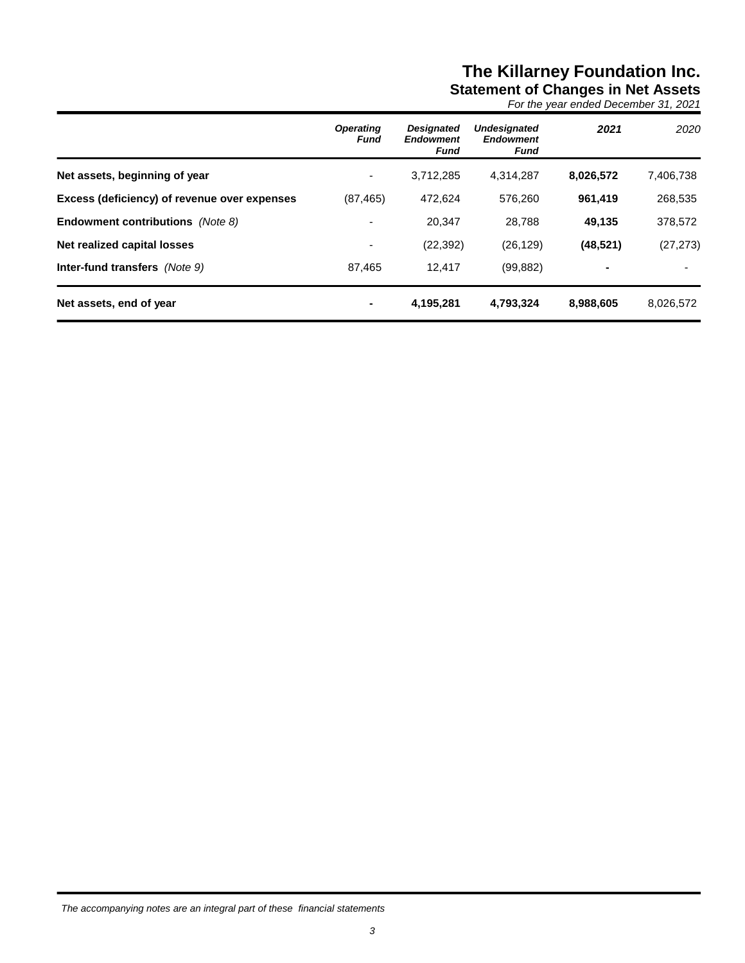**Statement of Changes in Net Assets**

| For the year ended December 31, 2021 |  |  |
|--------------------------------------|--|--|
|--------------------------------------|--|--|

|                                              | <b>Operating</b><br>Fund | <b>Designated</b><br><b>Endowment</b><br>Fund | <b>Undesignated</b><br><b>Endowment</b><br><b>Fund</b> | 2021      | 2020      |
|----------------------------------------------|--------------------------|-----------------------------------------------|--------------------------------------------------------|-----------|-----------|
| Net assets, beginning of year                | ٠                        | 3,712,285                                     | 4,314,287                                              | 8,026,572 | 7,406,738 |
| Excess (deficiency) of revenue over expenses | (87, 465)                | 472.624                                       | 576,260                                                | 961.419   | 268,535   |
| <b>Endowment contributions</b> (Note 8)      | $\overline{\phantom{a}}$ | 20.347                                        | 28.788                                                 | 49,135    | 378,572   |
| Net realized capital losses                  | $\overline{\phantom{a}}$ | (22, 392)                                     | (26, 129)                                              | (48, 521) | (27, 273) |
| <b>Inter-fund transfers</b> (Note 9)         | 87.465                   | 12.417                                        | (99, 882)                                              |           |           |
| Net assets, end of year                      | ٠                        | 4,195,281                                     | 4,793,324                                              | 8,988,605 | 8,026,572 |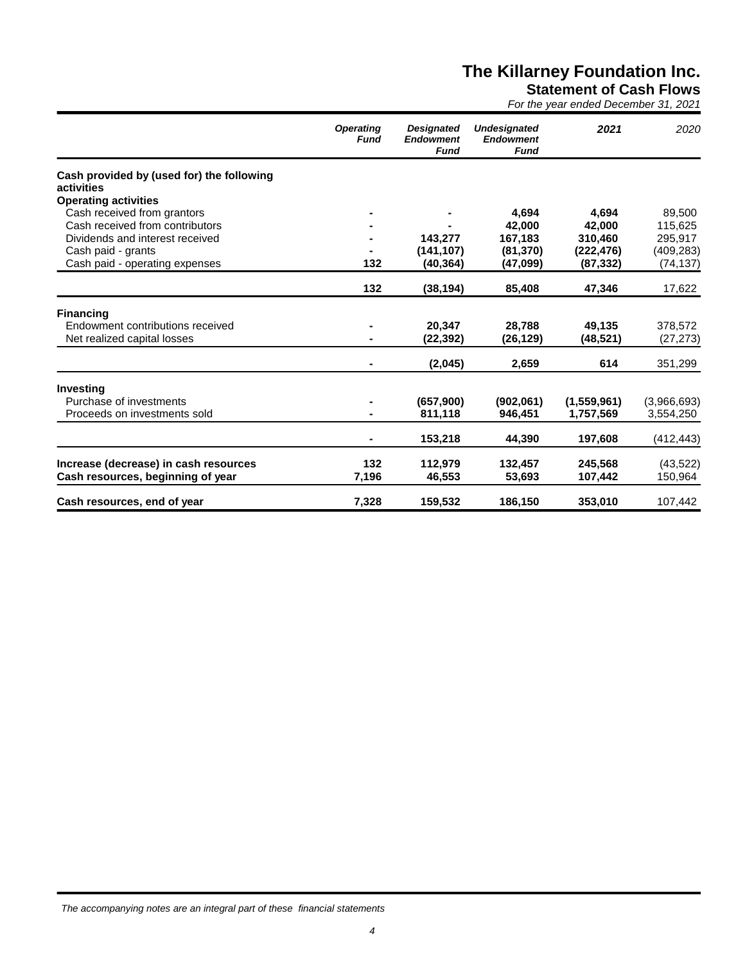# **Statement of Cash Flows**

*For the year ended December 31, 2021*

|                                                         | <b>Operating</b><br><b>Fund</b> | <b>Designated</b><br><b>Endowment</b><br><b>Fund</b> | <b>Undesignated</b><br><b>Endowment</b><br><b>Fund</b> | 2021        | 2020        |
|---------------------------------------------------------|---------------------------------|------------------------------------------------------|--------------------------------------------------------|-------------|-------------|
| Cash provided by (used for) the following<br>activities |                                 |                                                      |                                                        |             |             |
| <b>Operating activities</b>                             |                                 |                                                      |                                                        |             |             |
| Cash received from grantors                             |                                 |                                                      | 4,694                                                  | 4.694       | 89,500      |
| Cash received from contributors                         |                                 |                                                      | 42,000                                                 | 42,000      | 115,625     |
| Dividends and interest received                         |                                 | 143,277                                              | 167,183                                                | 310,460     | 295,917     |
| Cash paid - grants                                      |                                 | (141, 107)                                           | (81, 370)                                              | (222, 476)  | (409, 283)  |
| Cash paid - operating expenses                          | 132                             | (40, 364)                                            | (47,099)                                               | (87, 332)   | (74, 137)   |
|                                                         | 132                             | (38, 194)                                            | 85,408                                                 | 47,346      | 17,622      |
| <b>Financing</b>                                        |                                 |                                                      |                                                        |             |             |
| Endowment contributions received                        |                                 | 20,347                                               | 28,788                                                 | 49,135      | 378,572     |
| Net realized capital losses                             |                                 | (22, 392)                                            | (26,129)                                               | (48, 521)   | (27, 273)   |
|                                                         |                                 | (2,045)                                              | 2,659                                                  | 614         | 351,299     |
| <b>Investing</b>                                        |                                 |                                                      |                                                        |             |             |
| Purchase of investments                                 |                                 | (657,900)                                            | (902,061)                                              | (1,559,961) | (3,966,693) |
| Proceeds on investments sold                            |                                 | 811,118                                              | 946,451                                                | 1,757,569   | 3,554,250   |
|                                                         |                                 | 153,218                                              | 44.390                                                 | 197,608     | (412, 443)  |
| Increase (decrease) in cash resources                   | 132                             | 112,979                                              | 132,457                                                | 245,568     | (43, 522)   |
| Cash resources, beginning of year                       | 7,196                           | 46,553                                               | 53,693                                                 | 107,442     | 150,964     |
| Cash resources, end of year                             | 7,328                           | 159,532                                              | 186,150                                                | 353,010     | 107.442     |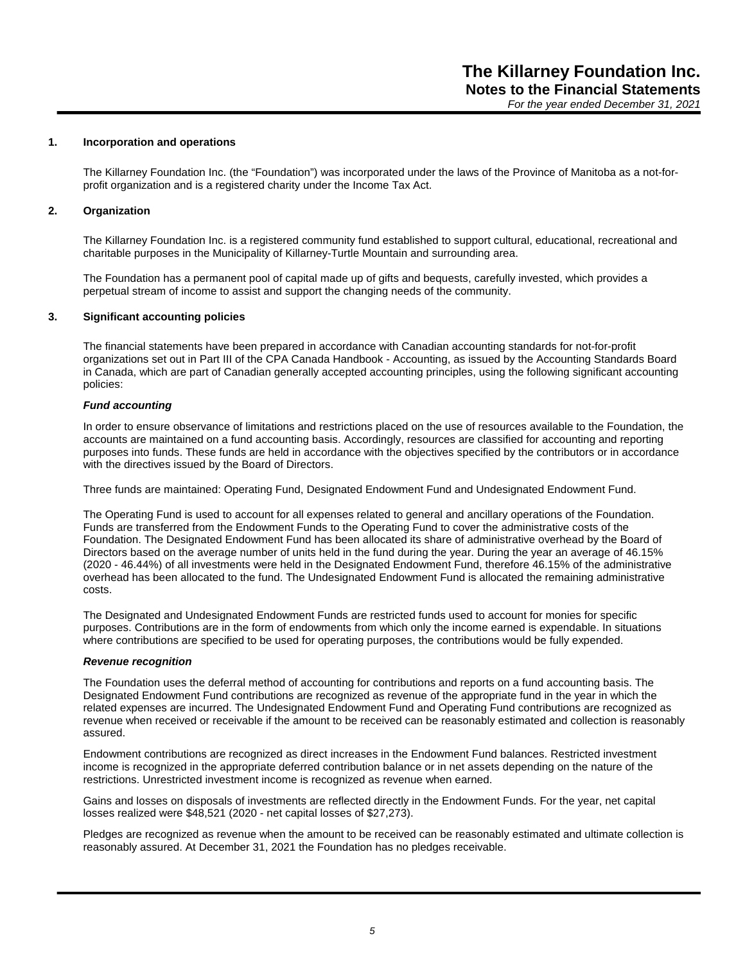## **1. Incorporation and operations**

The Killarney Foundation Inc. (the "Foundation") was incorporated under the laws of the Province of Manitoba as a not-forprofit organization and is a registered charity under the Income Tax Act.

## **2. Organization**

The Killarney Foundation Inc. is a registered community fund established to support cultural, educational, recreational and charitable purposes in the Municipality of Killarney-Turtle Mountain and surrounding area.

The Foundation has a permanent pool of capital made up of gifts and bequests, carefully invested, which provides a perpetual stream of income to assist and support the changing needs of the community.

#### **3. Significant accounting policies**

The financial statements have been prepared in accordance with Canadian accounting standards for not-for-profit organizations set out in Part III of the CPA Canada Handbook - Accounting, as issued by the Accounting Standards Board in Canada, which are part of Canadian generally accepted accounting principles, using the following significant accounting policies:

## *Fund accounting*

In order to ensure observance of limitations and restrictions placed on the use of resources available to the Foundation, the accounts are maintained on a fund accounting basis. Accordingly, resources are classified for accounting and reporting purposes into funds. These funds are held in accordance with the objectives specified by the contributors or in accordance with the directives issued by the Board of Directors.

Three funds are maintained: Operating Fund, Designated Endowment Fund and Undesignated Endowment Fund.

The Operating Fund is used to account for all expenses related to general and ancillary operations of the Foundation. Funds are transferred from the Endowment Funds to the Operating Fund to cover the administrative costs of the Foundation. The Designated Endowment Fund has been allocated its share of administrative overhead by the Board of Directors based on the average number of units held in the fund during the year. During the year an average of 46.15% (2020 - 46.44%) of all investments were held in the Designated Endowment Fund, therefore 46.15% of the administrative overhead has been allocated to the fund. The Undesignated Endowment Fund is allocated the remaining administrative costs.

The Designated and Undesignated Endowment Funds are restricted funds used to account for monies for specific purposes. Contributions are in the form of endowments from which only the income earned is expendable. In situations where contributions are specified to be used for operating purposes, the contributions would be fully expended.

#### *Revenue recognition*

The Foundation uses the deferral method of accounting for contributions and reports on a fund accounting basis. The Designated Endowment Fund contributions are recognized as revenue of the appropriate fund in the year in which the related expenses are incurred. The Undesignated Endowment Fund and Operating Fund contributions are recognized as revenue when received or receivable if the amount to be received can be reasonably estimated and collection is reasonably assured.

Endowment contributions are recognized as direct increases in the Endowment Fund balances. Restricted investment income is recognized in the appropriate deferred contribution balance or in net assets depending on the nature of the restrictions. Unrestricted investment income is recognized as revenue when earned.

Gains and losses on disposals of investments are reflected directly in the Endowment Funds. For the year, net capital losses realized were \$48,521 (2020 - net capital losses of \$27,273).

Pledges are recognized as revenue when the amount to be received can be reasonably estimated and ultimate collection is reasonably assured. At December 31, 2021 the Foundation has no pledges receivable.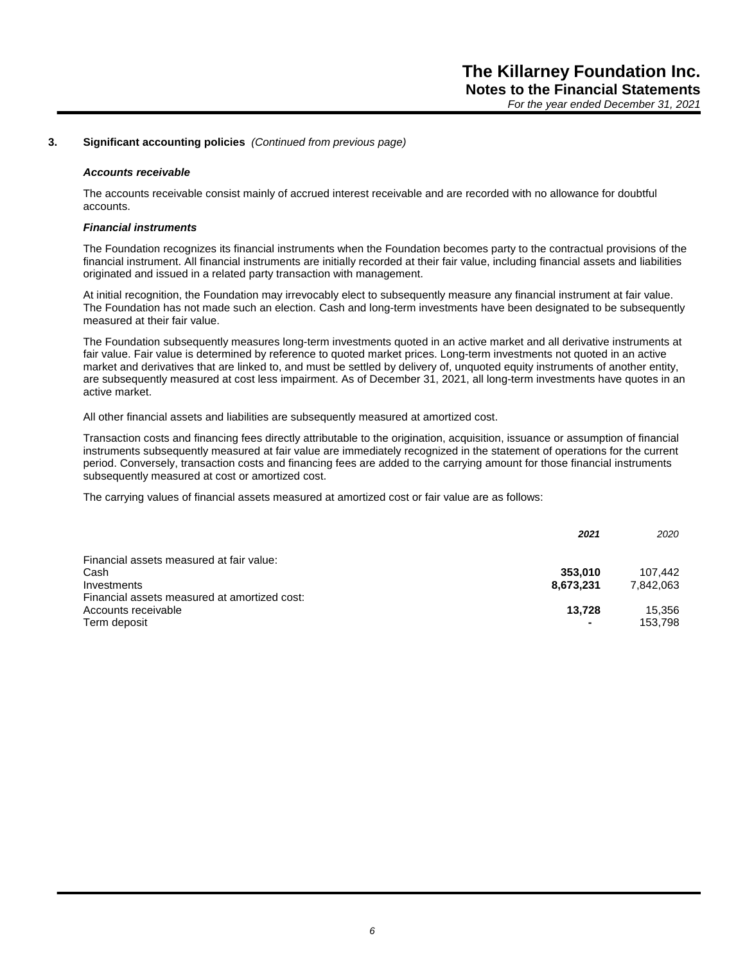# *For the year ended December 31, 2021*

# **3. Significant accounting policies** *(Continued from previous page)*

#### *Accounts receivable*

The accounts receivable consist mainly of accrued interest receivable and are recorded with no allowance for doubtful accounts.

## *Financial instruments*

The Foundation recognizes its financial instruments when the Foundation becomes party to the contractual provisions of the financial instrument. All financial instruments are initially recorded at their fair value, including financial assets and liabilities originated and issued in a related party transaction with management.

At initial recognition, the Foundation may irrevocably elect to subsequently measure any financial instrument at fair value. The Foundation has not made such an election. Cash and long-term investments have been designated to be subsequently measured at their fair value.

The Foundation subsequently measures long-term investments quoted in an active market and all derivative instruments at fair value. Fair value is determined by reference to quoted market prices. Long-term investments not quoted in an active market and derivatives that are linked to, and must be settled by delivery of, unquoted equity instruments of another entity, are subsequently measured at cost less impairment. As of December 31, 2021, all long-term investments have quotes in an active market.

All other financial assets and liabilities are subsequently measured at amortized cost.

Transaction costs and financing fees directly attributable to the origination, acquisition, issuance or assumption of financial instruments subsequently measured at fair value are immediately recognized in the statement of operations for the current period. Conversely, transaction costs and financing fees are added to the carrying amount for those financial instruments subsequently measured at cost or amortized cost.

The carrying values of financial assets measured at amortized cost or fair value are as follows:

|                                              | 2021      | 2020      |
|----------------------------------------------|-----------|-----------|
| Financial assets measured at fair value:     |           |           |
| Cash                                         | 353,010   | 107.442   |
| Investments                                  | 8.673.231 | 7.842.063 |
| Financial assets measured at amortized cost: |           |           |
| Accounts receivable                          | 13.728    | 15.356    |
| Term deposit                                 | ۰         | 153.798   |
|                                              |           |           |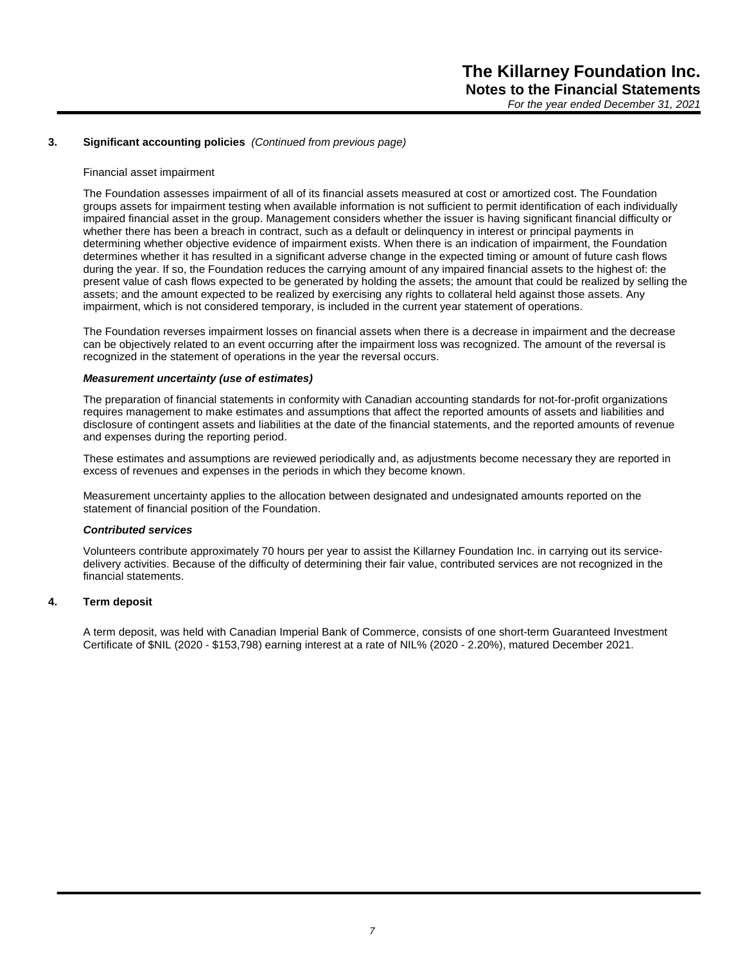*For the year ended December 31, 2021*

# **3. Significant accounting policies** *(Continued from previous page)*

#### Financial asset impairment

The Foundation assesses impairment of all of its financial assets measured at cost or amortized cost. The Foundation groups assets for impairment testing when available information is not sufficient to permit identification of each individually impaired financial asset in the group. Management considers whether the issuer is having significant financial difficulty or whether there has been a breach in contract, such as a default or delinguency in interest or principal payments in determining whether objective evidence of impairment exists. When there is an indication of impairment, the Foundation determines whether it has resulted in a significant adverse change in the expected timing or amount of future cash flows during the year. If so, the Foundation reduces the carrying amount of any impaired financial assets to the highest of: the present value of cash flows expected to be generated by holding the assets; the amount that could be realized by selling the assets; and the amount expected to be realized by exercising any rights to collateral held against those assets. Any impairment, which is not considered temporary, is included in the current year statement of operations.

The Foundation reverses impairment losses on financial assets when there is a decrease in impairment and the decrease can be objectively related to an event occurring after the impairment loss was recognized. The amount of the reversal is recognized in the statement of operations in the year the reversal occurs.

#### *Measurement uncertainty (use of estimates)*

The preparation of financial statements in conformity with Canadian accounting standards for not-for-profit organizations requires management to make estimates and assumptions that affect the reported amounts of assets and liabilities and disclosure of contingent assets and liabilities at the date of the financial statements, and the reported amounts of revenue and expenses during the reporting period.

These estimates and assumptions are reviewed periodically and, as adjustments become necessary they are reported in excess of revenues and expenses in the periods in which they become known.

Measurement uncertainty applies to the allocation between designated and undesignated amounts reported on the statement of financial position of the Foundation.

#### *Contributed services*

Volunteers contribute approximately 70 hours per year to assist the Killarney Foundation Inc. in carrying out its servicedelivery activities. Because of the difficulty of determining their fair value, contributed services are not recognized in the financial statements.

# **4. Term deposit**

A term deposit, was held with Canadian Imperial Bank of Commerce, consists of one short-term Guaranteed Investment Certificate of \$NIL (2020 - \$153,798) earning interest at a rate of NIL% (2020 - 2.20%), matured December 2021.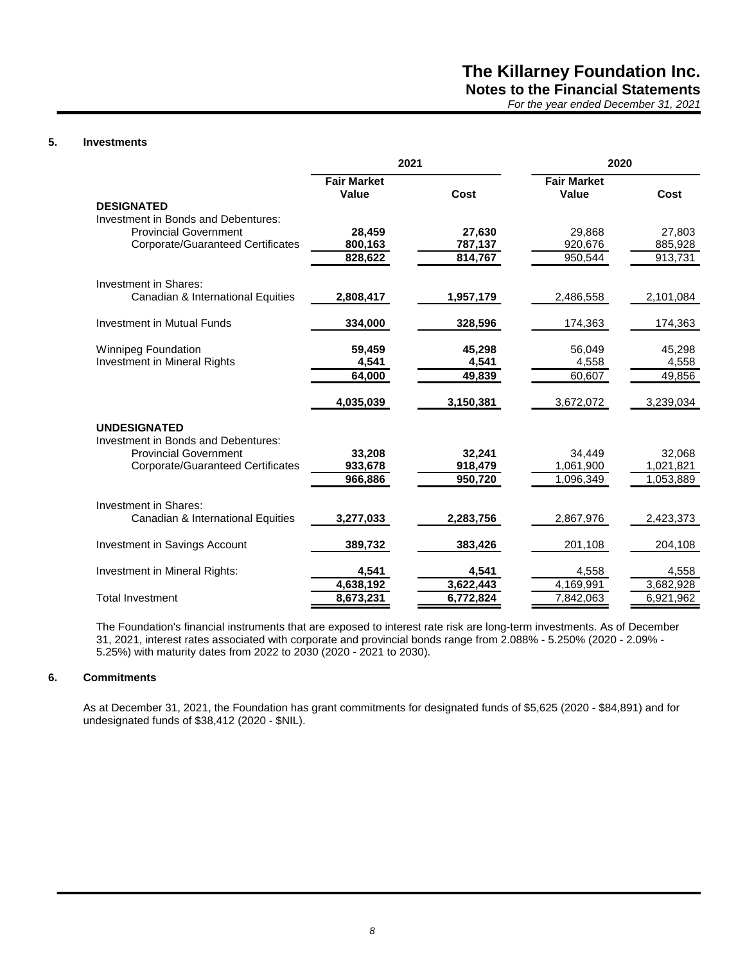**Notes to the Financial Statements**

# *For the year ended December 31, 2021*

# **5. Investments**

|                                                                     | 2021                               |           | 2020                               |           |
|---------------------------------------------------------------------|------------------------------------|-----------|------------------------------------|-----------|
|                                                                     | <b>Fair Market</b><br><b>Value</b> | Cost      | <b>Fair Market</b><br><b>Value</b> | Cost      |
| <b>DESIGNATED</b><br>Investment in Bonds and Debentures:            |                                    |           |                                    |           |
| <b>Provincial Government</b>                                        | 28,459                             | 27,630    | 29,868                             | 27,803    |
| Corporate/Guaranteed Certificates                                   | 800,163                            | 787,137   | 920,676                            | 885,928   |
|                                                                     | 828,622                            | 814,767   | 950,544                            | 913,731   |
| <b>Investment in Shares:</b>                                        |                                    |           |                                    |           |
| Canadian & International Equities                                   | 2,808,417                          | 1,957,179 | 2,486,558                          | 2,101,084 |
| <b>Investment in Mutual Funds</b>                                   | 334,000                            | 328,596   | 174,363                            | 174,363   |
| Winnipeg Foundation                                                 | 59,459                             | 45,298    | 56,049                             | 45,298    |
| <b>Investment in Mineral Rights</b>                                 | 4,541                              | 4,541     | 4,558                              | 4,558     |
|                                                                     | 64,000                             | 49,839    | 60,607                             | 49,856    |
|                                                                     | 4,035,039                          | 3,150,381 | 3,672,072                          | 3,239,034 |
| <b>UNDESIGNATED</b>                                                 |                                    |           |                                    |           |
| Investment in Bonds and Debentures:<br><b>Provincial Government</b> | 33,208                             | 32,241    | 34.449                             | 32,068    |
| Corporate/Guaranteed Certificates                                   | 933,678                            | 918,479   | 1,061,900                          | 1,021,821 |
|                                                                     | 966,886                            | 950,720   | 1,096,349                          | 1,053,889 |
| Investment in Shares:                                               |                                    |           |                                    |           |
| Canadian & International Equities                                   | 3,277,033                          | 2,283,756 | 2,867,976                          | 2,423,373 |
| <b>Investment in Savings Account</b>                                | 389,732                            | 383,426   | 201,108                            | 204,108   |
| Investment in Mineral Rights:                                       | 4,541                              | 4,541     | 4,558                              | 4,558     |
|                                                                     | 4,638,192                          | 3,622,443 | 4,169,991                          | 3,682,928 |
| <b>Total Investment</b>                                             | 8,673,231                          | 6,772,824 | 7,842,063                          | 6,921,962 |

The Foundation's financial instruments that are exposed to interest rate risk are long-term investments. As of December 31, 2021, interest rates associated with corporate and provincial bonds range from 2.088% - 5.250% (2020 - 2.09% - 5.25%) with maturity dates from 2022 to 2030 (2020 - 2021 to 2030).

# **6. Commitments**

As at December 31, 2021, the Foundation has grant commitments for designated funds of \$5,625 (2020 - \$84,891) and for undesignated funds of \$38,412 (2020 - \$NIL).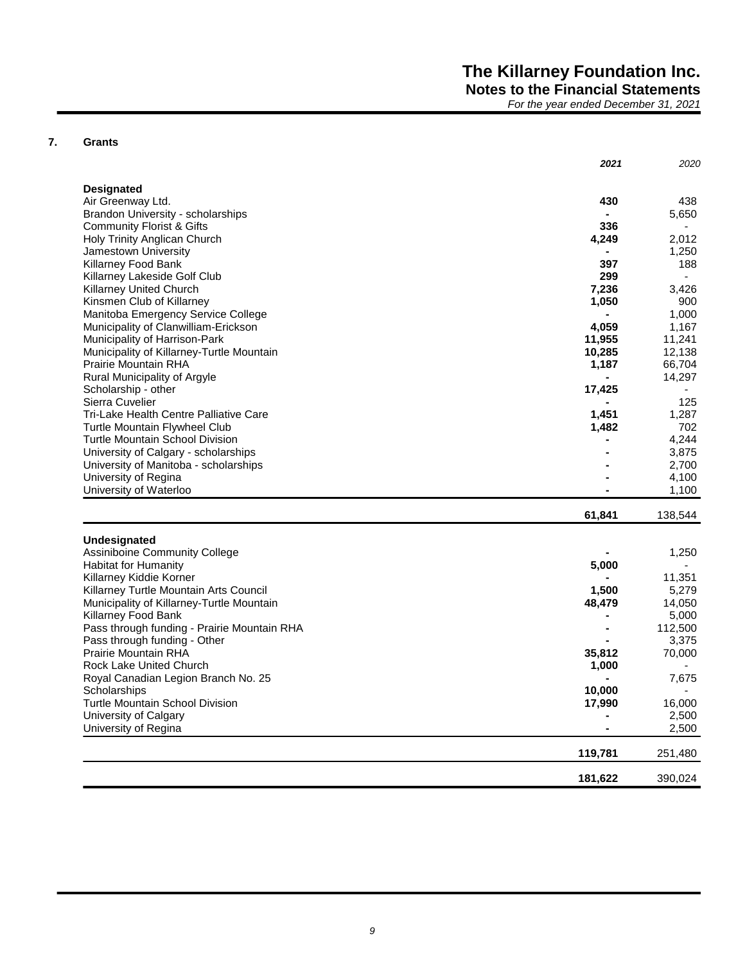# **7. Grants**

|                                                               | 2021           | 2020    |
|---------------------------------------------------------------|----------------|---------|
| <b>Designated</b>                                             |                |         |
| Air Greenway Ltd.                                             | 430            | 438     |
| Brandon University - scholarships                             | $\blacksquare$ | 5,650   |
| <b>Community Florist &amp; Gifts</b>                          | 336            |         |
| Holy Trinity Anglican Church                                  | 4,249          | 2,012   |
| Jamestown University                                          |                | 1,250   |
| Killarney Food Bank                                           | 397            | 188     |
| Killarney Lakeside Golf Club                                  | 299            |         |
| <b>Killarney United Church</b>                                | 7,236          | 3,426   |
| Kinsmen Club of Killarney                                     | 1,050          | 900     |
| Manitoba Emergency Service College                            |                | 1.000   |
| Municipality of Clanwilliam-Erickson                          | 4,059          | 1,167   |
| Municipality of Harrison-Park                                 | 11,955         | 11,241  |
| Municipality of Killarney-Turtle Mountain                     | 10,285         | 12,138  |
| <b>Prairie Mountain RHA</b>                                   | 1,187          | 66,704  |
| Rural Municipality of Argyle                                  |                | 14,297  |
| Scholarship - other                                           | 17,425         |         |
| Sierra Cuvelier                                               |                | 125     |
| Tri-Lake Health Centre Palliative Care                        | 1,451          | 1,287   |
| Turtle Mountain Flywheel Club                                 | 1,482          | 702     |
| <b>Turtle Mountain School Division</b>                        |                | 4,244   |
| University of Calgary - scholarships                          |                | 3,875   |
|                                                               |                | 2,700   |
| University of Manitoba - scholarships<br>University of Regina |                | 4,100   |
| University of Waterloo                                        |                | 1,100   |
|                                                               |                |         |
|                                                               | 61,841         | 138,544 |
| Undesignated                                                  |                |         |
| <b>Assiniboine Community College</b>                          |                | 1,250   |
| Habitat for Humanity                                          | 5,000          |         |
| Killarney Kiddie Korner                                       |                | 11,351  |
| Killarney Turtle Mountain Arts Council                        | 1.500          | 5,279   |
| Municipality of Killarney-Turtle Mountain                     | 48,479         | 14.050  |
| Killarney Food Bank                                           |                | 5,000   |
| Pass through funding - Prairie Mountain RHA                   |                | 112,500 |
| Pass through funding - Other                                  |                | 3,375   |
| <b>Prairie Mountain RHA</b>                                   | 35,812         | 70,000  |
| Rock Lake United Church                                       | 1,000          |         |
| Royal Canadian Legion Branch No. 25                           | $\blacksquare$ | 7,675   |
|                                                               |                |         |
| Scholarships                                                  | 10,000         | 16.000  |
| Turtle Mountain School Division                               | 17,990         |         |
| University of Calgary                                         |                | 2,500   |
| University of Regina                                          |                | 2,500   |
|                                                               | 119,781        | 251,480 |
|                                                               | 181,622        | 390,024 |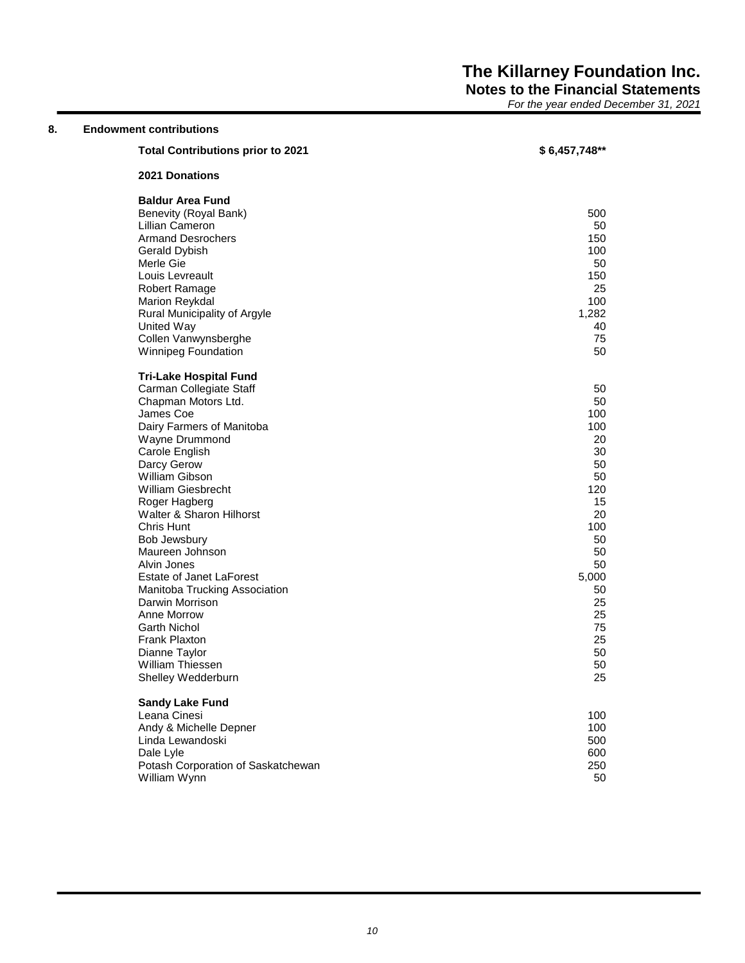*For the year ended December 31, 2021*

| 8. | <b>Endowment contributions</b>                                                                                                                                                                                                                                                                                                                                                                                                                                                                                                             |                                                                                                                                                     |
|----|--------------------------------------------------------------------------------------------------------------------------------------------------------------------------------------------------------------------------------------------------------------------------------------------------------------------------------------------------------------------------------------------------------------------------------------------------------------------------------------------------------------------------------------------|-----------------------------------------------------------------------------------------------------------------------------------------------------|
|    | <b>Total Contributions prior to 2021</b>                                                                                                                                                                                                                                                                                                                                                                                                                                                                                                   | \$6,457,748**                                                                                                                                       |
|    | <b>2021 Donations</b>                                                                                                                                                                                                                                                                                                                                                                                                                                                                                                                      |                                                                                                                                                     |
|    | <b>Baldur Area Fund</b><br>Benevity (Royal Bank)<br>Lillian Cameron<br><b>Armand Desrochers</b><br>Gerald Dybish<br>Merle Gie<br>Louis Levreault<br>Robert Ramage<br>Marion Reykdal<br>Rural Municipality of Argyle<br>United Way<br>Collen Vanwynsberghe<br><b>Winnipeg Foundation</b>                                                                                                                                                                                                                                                    | 500<br>50<br>150<br>100<br>50<br>150<br>25<br>100<br>1,282<br>40<br>75<br>50                                                                        |
|    | <b>Tri-Lake Hospital Fund</b><br>Carman Collegiate Staff<br>Chapman Motors Ltd.<br>James Coe<br>Dairy Farmers of Manitoba<br>Wayne Drummond<br>Carole English<br>Darcy Gerow<br>William Gibson<br><b>William Giesbrecht</b><br>Roger Hagberg<br>Walter & Sharon Hilhorst<br>Chris Hunt<br>Bob Jewsbury<br>Maureen Johnson<br>Alvin Jones<br>Estate of Janet LaForest<br>Manitoba Trucking Association<br>Darwin Morrison<br>Anne Morrow<br>Garth Nichol<br><b>Frank Plaxton</b><br>Dianne Taylor<br>William Thiessen<br>Shelley Wedderburn | 50<br>50<br>100<br>100<br>20<br>30<br>50<br>50<br>120<br>15<br>20<br>100<br>50<br>50<br>50<br>5,000<br>50<br>25<br>25<br>75<br>25<br>50<br>50<br>25 |
|    | <b>Sandy Lake Fund</b><br>Leana Cinesi<br>Andy & Michelle Depner<br>Linda Lewandoski<br>Dale Lyle<br>Potash Corporation of Saskatchewan<br>William Wynn                                                                                                                                                                                                                                                                                                                                                                                    | 100<br>100<br>500<br>600<br>250<br>50                                                                                                               |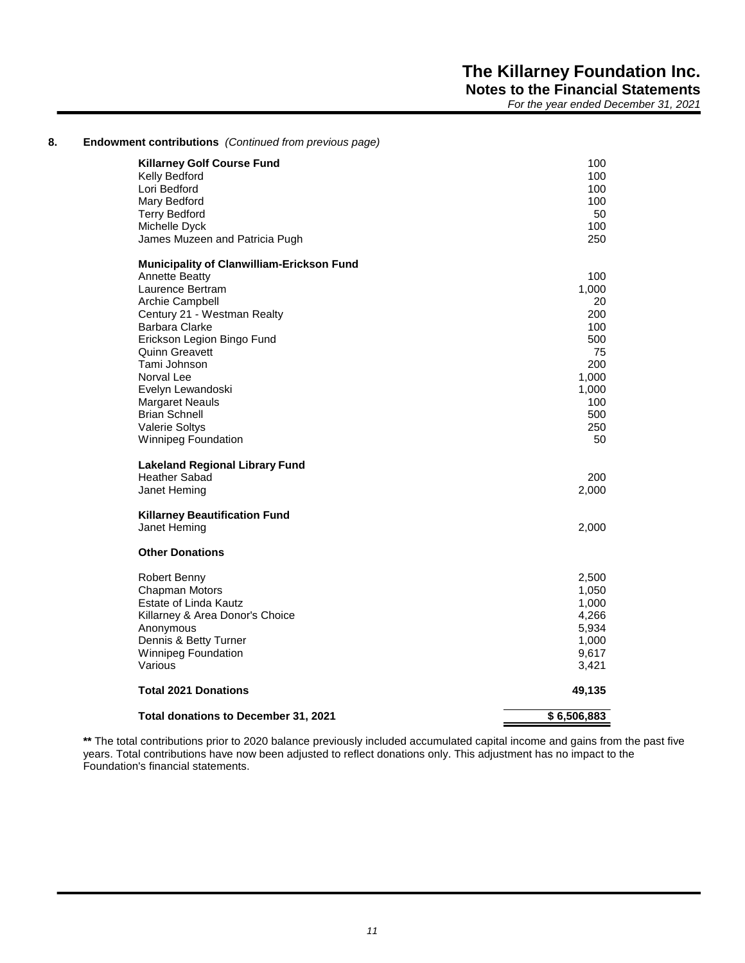| <b>dowment contributions</b> (Continued from previous page)   |             |
|---------------------------------------------------------------|-------------|
| <b>Killarney Golf Course Fund</b>                             | 100         |
| Kelly Bedford                                                 | 100         |
| Lori Bedford                                                  | 100         |
| Mary Bedford                                                  | 100         |
| <b>Terry Bedford</b>                                          | 50          |
| Michelle Dyck                                                 | 100         |
| James Muzeen and Patricia Pugh                                | 250         |
|                                                               |             |
| Municipality of Clanwilliam-Erickson Fund                     |             |
| <b>Annette Beatty</b>                                         | 100         |
| Laurence Bertram                                              | 1,000       |
| Archie Campbell                                               | 20          |
| Century 21 - Westman Realty                                   | 200         |
| <b>Barbara Clarke</b>                                         | 100         |
| Erickson Legion Bingo Fund                                    | 500         |
| <b>Quinn Greavett</b>                                         | 75          |
| Tami Johnson                                                  | 200         |
| Norval Lee                                                    | 1,000       |
| Evelyn Lewandoski                                             | 1,000       |
| <b>Margaret Neauls</b>                                        | 100         |
| <b>Brian Schnell</b>                                          | 500         |
| Valerie Soltys                                                | 250         |
| Winnipeg Foundation                                           | 50          |
|                                                               |             |
| <b>Lakeland Regional Library Fund</b><br><b>Heather Sabad</b> | 200         |
|                                                               | 2,000       |
| Janet Heming                                                  |             |
| <b>Killarney Beautification Fund</b>                          |             |
| Janet Heming                                                  | 2,000       |
|                                                               |             |
| <b>Other Donations</b>                                        |             |
| Robert Benny                                                  | 2,500       |
| <b>Chapman Motors</b>                                         | 1,050       |
| Estate of Linda Kautz                                         | 1,000       |
| Killarney & Area Donor's Choice                               | 4,266       |
| Anonymous                                                     | 5,934       |
| Dennis & Betty Turner                                         | 1,000       |
| Winnipeg Foundation                                           | 9,617       |
| Various                                                       | 3,421       |
|                                                               |             |
| <b>Total 2021 Donations</b>                                   | 49,135      |
| Total donations to December 31, 2021                          | \$6,506,883 |

**8. Endowment contributions** *(Continued from previous page)*

**\*\*** The total contributions prior to 2020 balance previously included accumulated capital income and gains from the past five years. Total contributions have now been adjusted to reflect donations only. This adjustment has no impact to the Foundation's financial statements.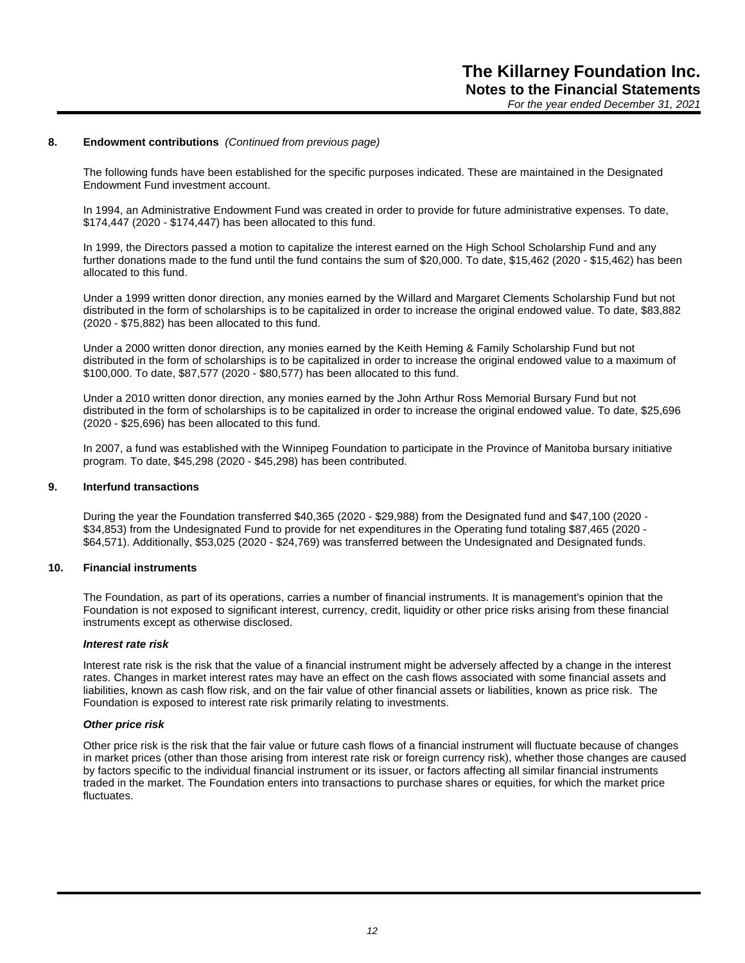#### **8. Endowment contributions** *(Continued from previous page)*

The following funds have been established for the specific purposes indicated. These are maintained in the Designated Endowment Fund investment account.

In 1994, an Administrative Endowment Fund was created in order to provide for future administrative expenses. To date, \$174,447 (2020 - \$174,447) has been allocated to this fund.

In 1999, the Directors passed a motion to capitalize the interest earned on the High School Scholarship Fund and any further donations made to the fund until the fund contains the sum of \$20,000. To date, \$15,462 (2020 - \$15,462) has been allocated to this fund.

Under a 1999 written donor direction, any monies earned by the Willard and Margaret Clements Scholarship Fund but not distributed in the form of scholarships is to be capitalized in order to increase the original endowed value. To date, \$83,882 (2020 - \$75,882) has been allocated to this fund.

Under a 2000 written donor direction, any monies earned by the Keith Heming & Family Scholarship Fund but not distributed in the form of scholarships is to be capitalized in order to increase the original endowed value to a maximum of \$100,000. To date, \$87,577 (2020 - \$80,577) has been allocated to this fund.

Under a 2010 written donor direction, any monies earned by the John Arthur Ross Memorial Bursary Fund but not distributed in the form of scholarships is to be capitalized in order to increase the original endowed value. To date, \$25,696 (2020 - \$25,696) has been allocated to this fund.

In 2007, a fund was established with the Winnipeg Foundation to participate in the Province of Manitoba bursary initiative program. To date, \$45,298 (2020 - \$45,298) has been contributed.

#### **9. Interfund transactions**

During the year the Foundation transferred \$40,365 (2020 - \$29,988) from the Designated fund and \$47,100 (2020 - \$34,853) from the Undesignated Fund to provide for net expenditures in the Operating fund totaling \$87,465 (2020 - \$64,571). Additionally, \$53,025 (2020 - \$24,769) was transferred between the Undesignated and Designated funds.

#### **10. Financial instruments**

The Foundation, as part of its operations, carries a number of financial instruments. It is management's opinion that the Foundation is not exposed to significant interest, currency, credit, liquidity or other price risks arising from these financial instruments except as otherwise disclosed.

#### *Interest rate risk*

Interest rate risk is the risk that the value of a financial instrument might be adversely affected by a change in the interest rates. Changes in market interest rates may have an effect on the cash flows associated with some financial assets and liabilities, known as cash flow risk, and on the fair value of other financial assets or liabilities, known as price risk. The Foundation is exposed to interest rate risk primarily relating to investments.

#### *Other price risk*

Other price risk is the risk that the fair value or future cash flows of a financial instrument will fluctuate because of changes in market prices (other than those arising from interest rate risk or foreign currency risk), whether those changes are caused by factors specific to the individual financial instrument or its issuer, or factors affecting all similar financial instruments traded in the market. The Foundation enters into transactions to purchase shares or equities, for which the market price fluctuates.